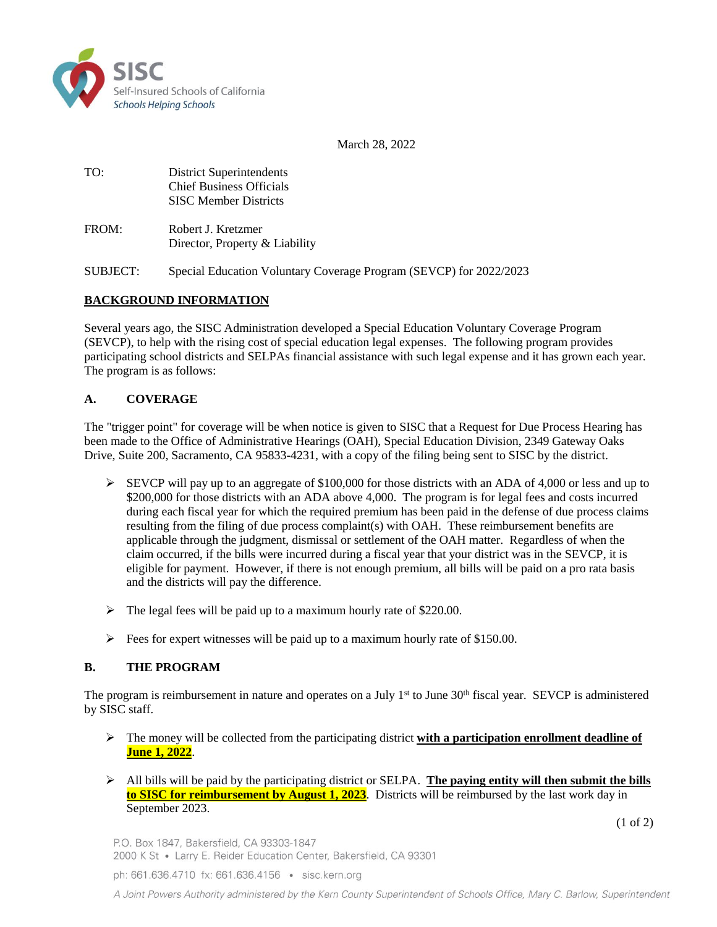

March 28, 2022

TO: District Superintendents Chief Business Officials SISC Member Districts

FROM: Robert J. Kretzmer Director, Property & Liability

SUBJECT: Special Education Voluntary Coverage Program (SEVCP) for 2022/2023

## **BACKGROUND INFORMATION**

Several years ago, the SISC Administration developed a Special Education Voluntary Coverage Program (SEVCP), to help with the rising cost of special education legal expenses. The following program provides participating school districts and SELPAs financial assistance with such legal expense and it has grown each year. The program is as follows:

### **A. COVERAGE**

The "trigger point" for coverage will be when notice is given to SISC that a Request for Due Process Hearing has been made to the Office of Administrative Hearings (OAH), Special Education Division, 2349 Gateway Oaks Drive, Suite 200, Sacramento, CA 95833-4231, with a copy of the filing being sent to SISC by the district.

- $\triangleright$  SEVCP will pay up to an aggregate of \$100,000 for those districts with an ADA of 4,000 or less and up to \$200,000 for those districts with an ADA above 4,000. The program is for legal fees and costs incurred during each fiscal year for which the required premium has been paid in the defense of due process claims resulting from the filing of due process complaint(s) with OAH. These reimbursement benefits are applicable through the judgment, dismissal or settlement of the OAH matter. Regardless of when the claim occurred, if the bills were incurred during a fiscal year that your district was in the SEVCP, it is eligible for payment. However, if there is not enough premium, all bills will be paid on a pro rata basis and the districts will pay the difference.
- $\triangleright$  The legal fees will be paid up to a maximum hourly rate of \$220.00.
- $\triangleright$  Fees for expert witnesses will be paid up to a maximum hourly rate of \$150.00.

### **B. THE PROGRAM**

The program is reimbursement in nature and operates on a July 1<sup>st</sup> to June 30<sup>th</sup> fiscal year. SEVCP is administered by SISC staff.

- $\triangleright$  The money will be collected from the participating district **with a participation enrollment deadline of June 1, 2022**.
- All bills will be paid by the participating district or SELPA. **The paying entity will then submit the bills to SISC for reimbursement by August 1, 2023**. Districts will be reimbursed by the last work day in September 2023.

(1 of 2)

P.O. Box 1847, Bakersfield, CA 93303-1847 2000 K St · Larry E. Reider Education Center, Bakersfield, CA 93301

ph: 661.636.4710 fx: 661.636.4156 · sisc.kern.org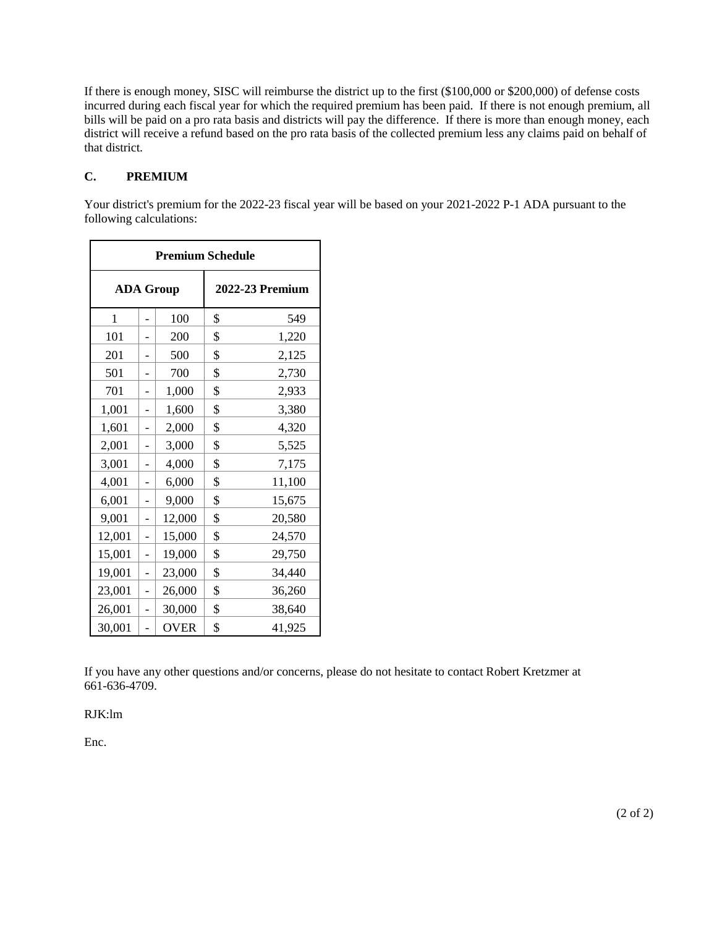If there is enough money, SISC will reimburse the district up to the first (\$100,000 or \$200,000) of defense costs incurred during each fiscal year for which the required premium has been paid. If there is not enough premium, all bills will be paid on a pro rata basis and districts will pay the difference. If there is more than enough money, each district will receive a refund based on the pro rata basis of the collected premium less any claims paid on behalf of that district.

## **C. PREMIUM**

Your district's premium for the 2022-23 fiscal year will be based on your 2021-2022 P-1 ADA pursuant to the following calculations:

| <b>Premium Schedule</b> |   |                        |    |        |  |  |
|-------------------------|---|------------------------|----|--------|--|--|
| <b>ADA Group</b>        |   | <b>2022-23 Premium</b> |    |        |  |  |
| 1                       |   | 100                    | \$ | 549    |  |  |
| 101                     |   | 200                    | \$ | 1,220  |  |  |
| 201                     |   | 500                    | \$ | 2,125  |  |  |
| 501                     |   | 700                    | \$ | 2,730  |  |  |
| 701                     |   | 1,000                  | \$ | 2,933  |  |  |
| 1,001                   | - | 1,600                  | \$ | 3,380  |  |  |
| 1,601                   |   | 2,000                  | \$ | 4,320  |  |  |
| 2,001                   |   | 3,000                  | \$ | 5,525  |  |  |
| 3,001                   |   | 4,000                  | \$ | 7,175  |  |  |
| 4,001                   |   | 6,000                  | \$ | 11,100 |  |  |
| 6,001                   |   | 9,000                  | \$ | 15,675 |  |  |
| 9,001                   |   | 12,000                 | \$ | 20,580 |  |  |
| 12,001                  | - | 15,000                 | \$ | 24,570 |  |  |
| 15,001                  | - | 19,000                 | \$ | 29,750 |  |  |
| 19,001                  |   | 23,000                 | \$ | 34,440 |  |  |
| 23,001                  |   | 26,000                 | \$ | 36,260 |  |  |
| 26,001                  |   | 30,000                 | \$ | 38,640 |  |  |
| 30,001                  |   | <b>OVER</b>            | \$ | 41,925 |  |  |

If you have any other questions and/or concerns, please do not hesitate to contact Robert Kretzmer at 661-636-4709.

### RJK:lm

Enc.